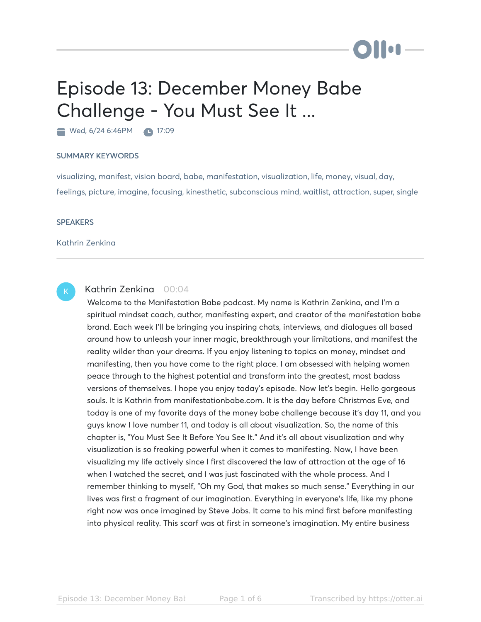# Episode 13: December Money Babe Challenge - You Must See It ...

Wed, 6/24 6:46PM 17:09

### SUMMARY KEYWORDS

visualizing, manifest, vision board, babe, manifestation, visualization, life, money, visual, day, feelings, picture, imagine, focusing, kinesthetic, subconscious mind, waitlist, attraction, super, single

### **SPEAKERS**

Kathrin Zenkina

## K

## Kathrin Zenkina 00:04

Welcome to the Manifestation Babe podcast. My name is Kathrin Zenkina, and I'm a spiritual mindset coach, author, manifesting expert, and creator of the manifestation babe brand. Each week I'll be bringing you inspiring chats, interviews, and dialogues all based around how to unleash your inner magic, breakthrough your limitations, and manifest the reality wilder than your dreams. If you enjoy listening to topics on money, mindset and manifesting, then you have come to the right place. I am obsessed with helping women peace through to the highest potential and transform into the greatest, most badass versions of themselves. I hope you enjoy today's episode. Now let's begin. Hello gorgeous souls. It is Kathrin from manifestationbabe.com. It is the day before Christmas Eve, and today is one of my favorite days of the money babe challenge because it's day 11, and you guys know I love number 11, and today is all about visualization. So, the name of this chapter is, "You Must See It Before You See It." And it's all about visualization and why visualization is so freaking powerful when it comes to manifesting. Now, I have been visualizing my life actively since I first discovered the law of attraction at the age of 16 when I watched the secret, and I was just fascinated with the whole process. And I remember thinking to myself, "Oh my God, that makes so much sense." Everything in our lives was first a fragment of our imagination. Everything in everyone's life, like my phone right now was once imagined by Steve Jobs. It came to his mind first before manifesting into physical reality. This scarf was at first in someone's imagination. My entire business

DII OF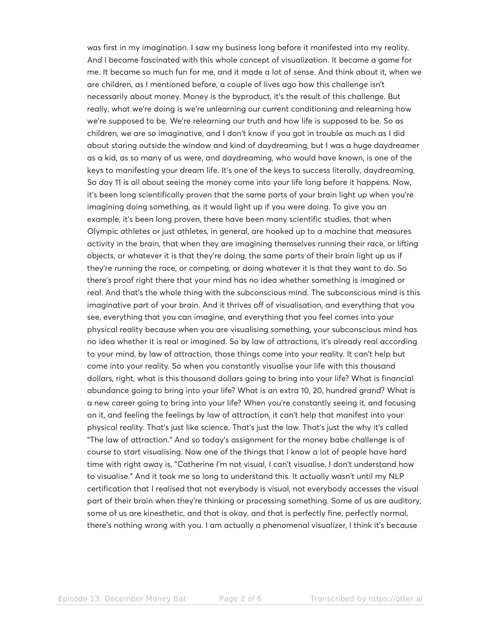was first in my imagination. I saw my business long before it manifested into my reality. And I became fascinated with this whole concept of visualization. It became a game for me. It became so much fun for me, and it made a lot of sense. And think about it, when we are children, as I mentioned before, a couple of lives ago how this challenge isn't necessarily about money. Money is the byproduct, it's the result of this challenge. But really, what we're doing is we're unlearning our current conditioning and relearning how we're supposed to be. We're relearning our truth and how life is supposed to be. So as children, we are so imaginative, and I don't know if you got in trouble as much as I did about staring outside the window and kind of daydreaming, but I was a huge daydreamer as a kid, as so many of us were, and daydreaming, who would have known, is one of the keys to manifesting your dream life. It's one of the keys to success literally, daydreaming. So day 11 is all about seeing the money come into your life long before it happens. Now, it's been long scientifically proven that the same parts of your brain light up when you're imagining doing something, as it would light up if you were doing. To give you an example, it's been long proven, there have been many scientific studies, that when Olympic athletes or just athletes, in general, are hooked up to a machine that measures activity in the brain, that when they are imagining themselves running their race, or lifting objects, or whatever it is that they're doing, the same parts of their brain light up as if they're running the race, or competing, or doing whatever it is that they want to do. So there's proof right there that your mind has no idea whether something is imagined or real. And that's the whole thing with the subconscious mind. The subconscious mind is this imaginative part of your brain. And it thrives off of visualisation, and everything that you see, everything that you can imagine, and everything that you feel comes into your physical reality because when you are visualising something, your subconscious mind has no idea whether it is real or imagined. So by law of attractions, it's already real according to your mind, by law of attraction, those things come into your reality. It can't help but come into your reality. So when you constantly visualise your life with this thousand dollars, right, what is this thousand dollars going to bring into your life? What is financial abundance going to bring into your life? What is an extra 10, 20, hundred grand? What is a new career going to bring into your life? When you're constantly seeing it, and focusing on it, and feeling the feelings by law of attraction, it can't help that manifest into your physical reality. That's just like science. That's just the law. That's just the why it's called "The law of attraction." And so today's assignment for the money babe challenge is of course to start visualising. Now one of the things that I know a lot of people have hard time with right away is, "Catherine I'm not visual, I can't visualise. I don't understand how to visualise." And it took me so long to understand this. It actually wasn't until my NLP certification that I realised that not everybody is visual, not everybody accesses the visual part of their brain when they're thinking or processing something. Some of us are auditory, some of us are kinesthetic, and that is okay, and that is perfectly fine, perfectly normal, there's nothing wrong with you. I am actually a phenomenal visualizer, I think it's because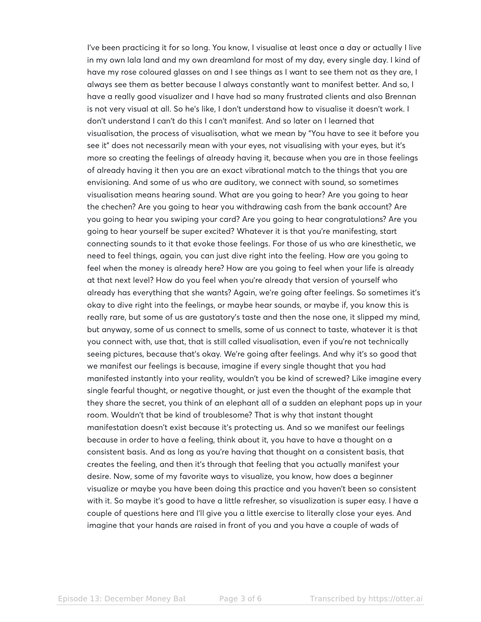I've been practicing it for so long. You know, I visualise at least once a day or actually I live in my own lala land and my own dreamland for most of my day, every single day. I kind of have my rose coloured glasses on and I see things as I want to see them not as they are, I always see them as better because I always constantly want to manifest better. And so, I have a really good visualizer and I have had so many frustrated clients and also Brennan is not very visual at all. So he's like, I don't understand how to visualise it doesn't work. I don't understand I can't do this I can't manifest. And so later on I learned that visualisation, the process of visualisation, what we mean by "You have to see it before you see it" does not necessarily mean with your eyes, not visualising with your eyes, but it's more so creating the feelings of already having it, because when you are in those feelings of already having it then you are an exact vibrational match to the things that you are envisioning. And some of us who are auditory, we connect with sound, so sometimes visualisation means hearing sound. What are you going to hear? Are you going to hear the chechen? Are you going to hear you withdrawing cash from the bank account? Are you going to hear you swiping your card? Are you going to hear congratulations? Are you going to hear yourself be super excited? Whatever it is that you're manifesting, start connecting sounds to it that evoke those feelings. For those of us who are kinesthetic, we need to feel things, again, you can just dive right into the feeling. How are you going to feel when the money is already here? How are you going to feel when your life is already at that next level? How do you feel when you're already that version of yourself who already has everything that she wants? Again, we're going after feelings. So sometimes it's okay to dive right into the feelings, or maybe hear sounds, or maybe if, you know this is really rare, but some of us are gustatory's taste and then the nose one, it slipped my mind, but anyway, some of us connect to smells, some of us connect to taste, whatever it is that you connect with, use that, that is still called visualisation, even if you're not technically seeing pictures, because that's okay. We're going after feelings. And why it's so good that we manifest our feelings is because, imagine if every single thought that you had manifested instantly into your reality, wouldn't you be kind of screwed? Like imagine every single fearful thought, or negative thought, or just even the thought of the example that they share the secret, you think of an elephant all of a sudden an elephant pops up in your room. Wouldn't that be kind of troublesome? That is why that instant thought manifestation doesn't exist because it's protecting us. And so we manifest our feelings because in order to have a feeling, think about it, you have to have a thought on a consistent basis. And as long as you're having that thought on a consistent basis, that creates the feeling, and then it's through that feeling that you actually manifest your desire. Now, some of my favorite ways to visualize, you know, how does a beginner visualize or maybe you have been doing this practice and you haven't been so consistent with it. So maybe it's good to have a little refresher, so visualization is super easy. I have a couple of questions here and I'll give you a little exercise to literally close your eyes. And imagine that your hands are raised in front of you and you have a couple of wads of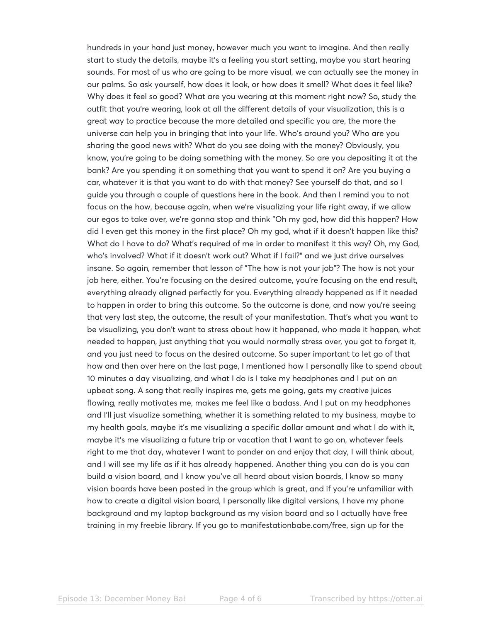hundreds in your hand just money, however much you want to imagine. And then really start to study the details, maybe it's a feeling you start setting, maybe you start hearing sounds. For most of us who are going to be more visual, we can actually see the money in our palms. So ask yourself, how does it look, or how does it smell? What does it feel like? Why does it feel so good? What are you wearing at this moment right now? So, study the outfit that you're wearing, look at all the different details of your visualization, this is a great way to practice because the more detailed and specific you are, the more the universe can help you in bringing that into your life. Who's around you? Who are you sharing the good news with? What do you see doing with the money? Obviously, you know, you're going to be doing something with the money. So are you depositing it at the bank? Are you spending it on something that you want to spend it on? Are you buying a car, whatever it is that you want to do with that money? See yourself do that, and so I guide you through a couple of questions here in the book. And then I remind you to not focus on the how, because again, when we're visualizing your life right away, if we allow our egos to take over, we're gonna stop and think "Oh my god, how did this happen? How did I even get this money in the first place? Oh my god, what if it doesn't happen like this? What do I have to do? What's required of me in order to manifest it this way? Oh, my God, who's involved? What if it doesn't work out? What if I fail?" and we just drive ourselves insane. So again, remember that lesson of "The how is not your job"? The how is not your job here, either. You're focusing on the desired outcome, you're focusing on the end result, everything already aligned perfectly for you. Everything already happened as if it needed to happen in order to bring this outcome. So the outcome is done, and now you're seeing that very last step, the outcome, the result of your manifestation. That's what you want to be visualizing, you don't want to stress about how it happened, who made it happen, what needed to happen, just anything that you would normally stress over, you got to forget it, and you just need to focus on the desired outcome. So super important to let go of that how and then over here on the last page, I mentioned how I personally like to spend about 10 minutes a day visualizing, and what I do is I take my headphones and I put on an upbeat song. A song that really inspires me, gets me going, gets my creative juices flowing, really motivates me, makes me feel like a badass. And I put on my headphones and I'll just visualize something, whether it is something related to my business, maybe to my health goals, maybe it's me visualizing a specific dollar amount and what I do with it, maybe it's me visualizing a future trip or vacation that I want to go on, whatever feels right to me that day, whatever I want to ponder on and enjoy that day, I will think about, and I will see my life as if it has already happened. Another thing you can do is you can build a vision board, and I know you've all heard about vision boards, I know so many vision boards have been posted in the group which is great, and if you're unfamiliar with how to create a digital vision board, I personally like digital versions, I have my phone background and my laptop background as my vision board and so I actually have free training in my freebie library. If you go to manifestationbabe.com/free, sign up for the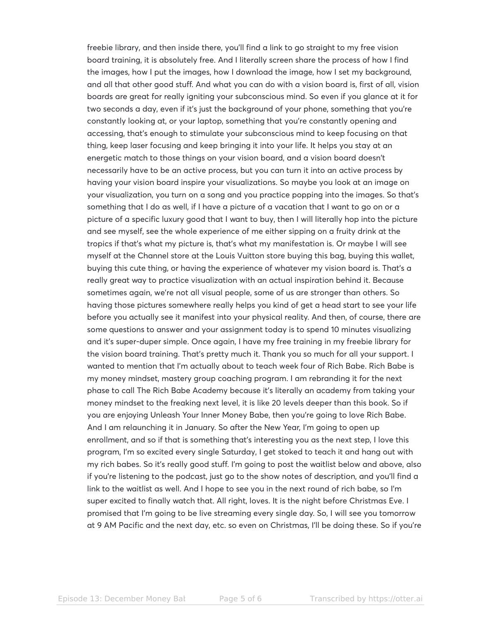freebie library, and then inside there, you'll find a link to go straight to my free vision board training, it is absolutely free. And I literally screen share the process of how I find the images, how I put the images, how I download the image, how I set my background, and all that other good stuff. And what you can do with a vision board is, first of all, vision boards are great for really igniting your subconscious mind. So even if you glance at it for two seconds a day, even if it's just the background of your phone, something that you're constantly looking at, or your laptop, something that you're constantly opening and accessing, that's enough to stimulate your subconscious mind to keep focusing on that thing, keep laser focusing and keep bringing it into your life. It helps you stay at an energetic match to those things on your vision board, and a vision board doesn't necessarily have to be an active process, but you can turn it into an active process by having your vision board inspire your visualizations. So maybe you look at an image on your visualization, you turn on a song and you practice popping into the images. So that's something that I do as well, if I have a picture of a vacation that I want to go on or a picture of a specific luxury good that I want to buy, then I will literally hop into the picture and see myself, see the whole experience of me either sipping on a fruity drink at the tropics if that's what my picture is, that's what my manifestation is. Or maybe I will see myself at the Channel store at the Louis Vuitton store buying this bag, buying this wallet, buying this cute thing, or having the experience of whatever my vision board is. That's a really great way to practice visualization with an actual inspiration behind it. Because sometimes again, we're not all visual people, some of us are stronger than others. So having those pictures somewhere really helps you kind of get a head start to see your life before you actually see it manifest into your physical reality. And then, of course, there are some questions to answer and your assignment today is to spend 10 minutes visualizing and it's super-duper simple. Once again, I have my free training in my freebie library for the vision board training. That's pretty much it. Thank you so much for all your support. I wanted to mention that I'm actually about to teach week four of Rich Babe. Rich Babe is my money mindset, mastery group coaching program. I am rebranding it for the next phase to call The Rich Babe Academy because it's literally an academy from taking your money mindset to the freaking next level, it is like 20 levels deeper than this book. So if you are enjoying Unleash Your Inner Money Babe, then you're going to love Rich Babe. And I am relaunching it in January. So after the New Year, I'm going to open up enrollment, and so if that is something that's interesting you as the next step, I love this program, I'm so excited every single Saturday, I get stoked to teach it and hang out with my rich babes. So it's really good stuff. I'm going to post the waitlist below and above, also if you're listening to the podcast, just go to the show notes of description, and you'll find a link to the waitlist as well. And I hope to see you in the next round of rich babe, so I'm super excited to finally watch that. All right, loves. It is the night before Christmas Eve. I promised that I'm going to be live streaming every single day. So, I will see you tomorrow at 9 AM Pacific and the next day, etc. so even on Christmas, I'll be doing these. So if you're